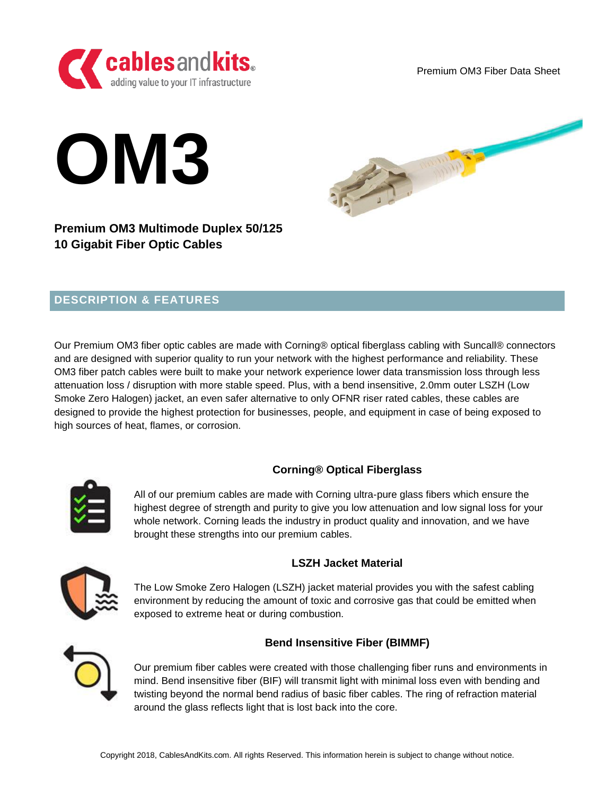

Premium OM3 Fiber Data Sheet





# **Premium OM3 Multimode Duplex 50/125 10 Gigabit Fiber Optic Cables**

# **DESCRIPTION & FEATURES**

Our Premium OM3 fiber optic cables are made with Corning® optical fiberglass cabling with Suncall® connectors and are designed with superior quality to run your network with the highest performance and reliability. These OM3 fiber patch cables were built to make your network experience lower data transmission loss through less attenuation loss / disruption with more stable speed. Plus, with a bend insensitive, 2.0mm outer LSZH (Low Smoke Zero Halogen) jacket, an even safer alternative to only OFNR riser rated cables, these cables are designed to provide the highest protection for businesses, people, and equipment in case of being exposed to high sources of heat, flames, or corrosion.



## **Corning® Optical Fiberglass**

All of our premium cables are made with Corning ultra-pure glass fibers which ensure the highest degree of strength and purity to give you low attenuation and low signal loss for your whole network. Corning leads the industry in product quality and innovation, and we have brought these strengths into our premium cables.



## **LSZH Jacket Material**

The Low Smoke Zero Halogen (LSZH) jacket material provides you with the safest cabling environment by reducing the amount of toxic and corrosive gas that could be emitted when exposed to extreme heat or during combustion.

## **Bend Insensitive Fiber (BIMMF)**



Our premium fiber cables were created with those challenging fiber runs and environments in mind. Bend insensitive fiber (BIF) will transmit light with minimal loss even with bending and twisting beyond the normal bend radius of basic fiber cables. The ring of refraction material around the glass reflects light that is lost back into the core.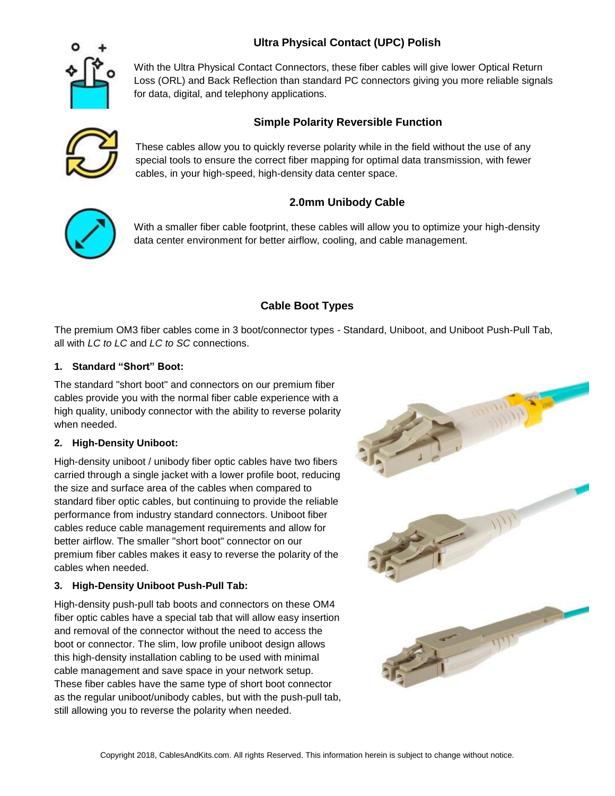# **Ultra Physical Contact (UPC) Polish**



With the Ultra Physical Contact Connectors, these fiber cables will give lower Optical Return Loss (ORL) and Back Reflection than standard PC connectors giving you more reliable signals for data, digital, and telephony applications.

## **Simple Polarity Reversible Function**



These cables allow you to quickly reverse polarity while in the field without the use of any special tools to ensure the correct fiber mapping for optimal data transmission, with fewer cables, in your high-speed, high-density data center space.

## **2.0mm Unibody Cable**



With a smaller fiber cable footprint, these cables will allow you to optimize your high-density data center environment for better airflow, cooling, and cable management.

## **Cable Boot Types**

The premium OM3 fiber cables come in 3 boot/connector types - Standard, Uniboot, and Uniboot Push-Pull Tab, all with *LC to LC* and *LC to SC* connections.

#### **1. Standard "Short" Boot:**

The standard "short boot" and connectors on our premium fiber cables provide you with the normal fiber cable experience with a high quality, unibody connector with the ability to reverse polarity when needed.

#### **2. High-Density Uniboot:**

High-density uniboot / unibody fiber optic cables have two fibers carried through a single jacket with a lower profile boot, reducing the size and surface area of the cables when compared to standard fiber optic cables, but continuing to provide the reliable performance from industry standard connectors. Uniboot fiber cables reduce cable management requirements and allow for better airflow. The smaller "short boot" connector on our premium fiber cables makes it easy to reverse the polarity of the cables when needed.

#### **3. High-Density Uniboot Push-Pull Tab:**

High-density push-pull tab boots and connectors on these OM4 fiber optic cables have a special tab that will allow easy insertion and removal of the connector without the need to access the boot or connector. The slim, low profile uniboot design allows this high-density installation cabling to be used with minimal cable management and save space in your network setup. These fiber cables have the same type of short boot connector as the regular uniboot/unibody cables, but with the push-pull tab, still allowing you to reverse the polarity when needed.